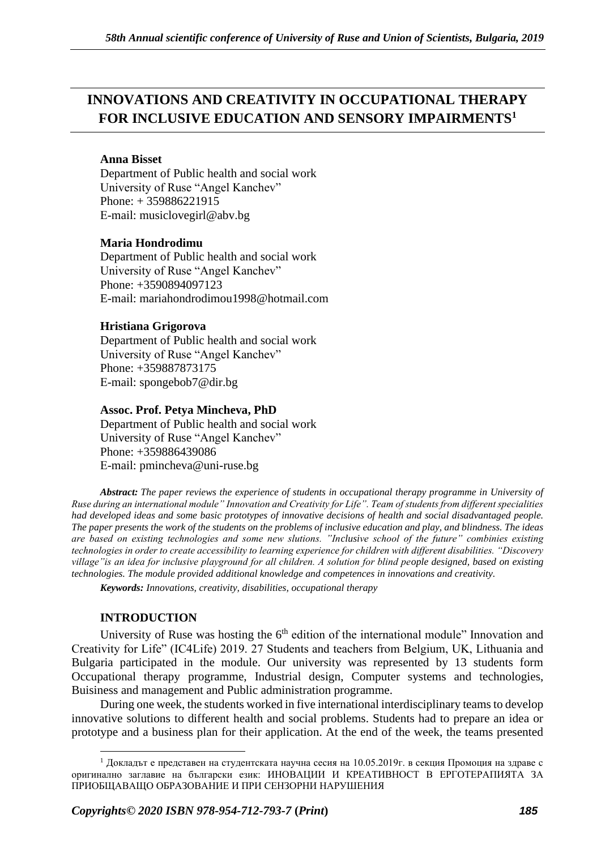# **INNOVATIONS AND CREATIVITY IN OCCUPATIONAL THERAPY FOR INCLUSIVE EDUCATION AND SENSORY IMPAIRMENTS<sup>1</sup>**

# **Anna Bisset**

Department of Public health and social work University of Ruse "Angel Kanchev" Phone: + 359886221915 Е-mail: musiclovegirl@abv.bg

# **Maria Hondrodimu**

Department of Public health and social work University of Ruse "Angel Kanchev" Phone: +3590894097123 E-mail: mariahondrodimou1998@hotmail.com

# **Hristiana Grigorova**

Department of Public health and social work University of Ruse "Angel Kanchev" Phone: +359887873175 Е-mail: spongebob7@dir.bg

# **Assoc. Prof. Petya Mincheva, PhD**

Department of Public health and social work University of Ruse "Angel Kanchev" Phone: +359886439086 Е-mail: pmincheva@uni-ruse.bg

*Abstract: The paper reviews the experience of students in occupational therapy programme in University of Ruse during an international module" Innovation and Creativity for Life". Team of students from different specialities had developed ideas and some basic prototypes of innovative decisions of health and social disadvantaged people. The paper presents the work of the students on the problems of inclusive education and play, and blindness. The ideas are based on existing technologies and some new slutions. "Inclusive school of the future" combinies existing technologies in order to create accessibility to learning experience for children with different disabilities. "Discovery village"is an idea for inclusive playground for all children. A solution for blind people designed, based on existing technologies. The module provided additional knowledge and competences in innovations and creativity.*

*Keywords: Innovations, creativity, disabilities, occupational therapy*

# **INTRODUCTION**

University of Ruse was hosting the  $6<sup>th</sup>$  edition of the international module" Innovation and Creativity for Life" (IC4Life) 2019. 27 Students and teachers from Belgium, UK, Lithuania and Bulgaria participated in the module. Our university was represented by 13 students form Occupational therapy programme, Industrial design, Computer systems and technologies, Buisiness and management and Public administration programme.

During one week, the students worked in five international interdisciplinary teams to develop innovative solutions to different health and social problems. Students had to prepare an idea or prototype and a business plan for their application. At the end of the week, the teams presented

<sup>&</sup>lt;sup>1</sup> Докладът е представен на студентската научна сесия на 10.05.2019г. в секция Промоция на здраве с оригинално заглавие на български език: ИНОВАЦИИ И КРЕАТИВНОСТ В ЕРГОТЕРАПИЯТА ЗА ПРИОБЩАВАЩО ОБРАЗОВАНИЕ И ПРИ СЕНЗОРНИ НАРУШЕНИЯ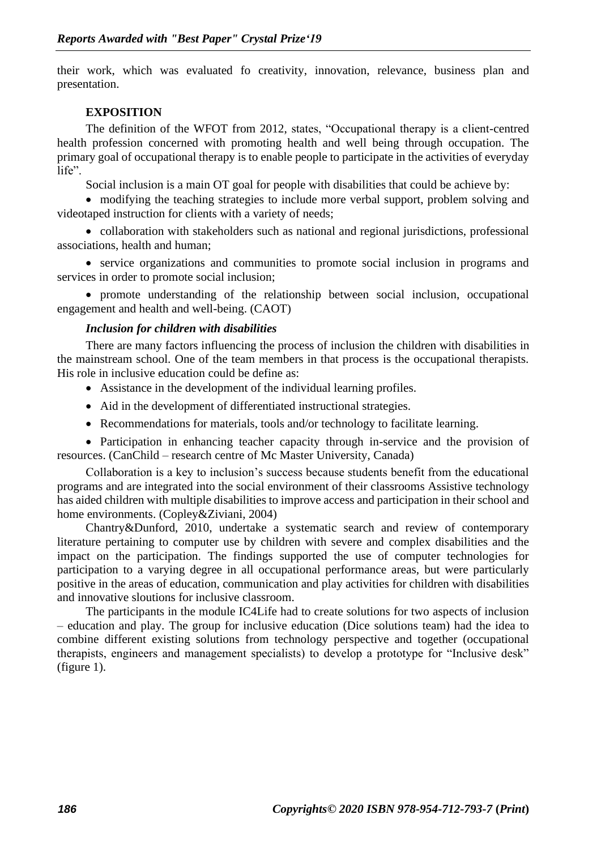their work, which was evaluated fo creativity, innovation, relevance, business plan and presentation.

#### **EXPOSITION**

The definition of the WFOT from 2012, states, "Occupational therapy is a client-centred health profession concerned with promoting health and well being through occupation. The primary goal of occupational therapy is to enable people to participate in the activities of everyday life".

Social inclusion is a main OT goal for people with disabilities that could be achieve by:

• modifying the teaching strategies to include more verbal support, problem solving and videotaped instruction for clients with a variety of needs;

• collaboration with stakeholders such as national and regional jurisdictions, professional associations, health and human;

• service organizations and communities to promote social inclusion in programs and services in order to promote social inclusion;

• promote understanding of the relationship between social inclusion, occupational engagement and health and well-being. (CAOT)

# *Inclusion for children with disabilities*

There are many factors influencing the process of inclusion the children with disabilities in the mainstream school. One of the team members in that process is the occupational therapists. His role in inclusive education could be define as:

- Assistance in the development of the individual learning profiles.
- Aid in the development of differentiated instructional strategies.
- Recommendations for materials, tools and/or technology to facilitate learning.

• Participation in enhancing teacher capacity through in-service and the provision of resources. (CanChild – research centre of Mc Master University, Canada)

Collaboration is a key to inclusion's success because students benefit from the educational programs and are integrated into the social environment of their classrooms Assistive technology has aided children with multiple disabilities to improve access and participation in their school and home environments. (Copley&Ziviani, 2004)

Chantry&Dunford, 2010, undertake a systematic search and review of contemporary literature pertaining to computer use by children with severe and complex disabilities and the impact on the participation. The findings supported the use of computer technologies for participation to a varying degree in all occupational performance areas, but were particularly positive in the areas of education, communication and play activities for children with disabilities and innovative sloutions for inclusive classroom.

The participants in the module IC4Life had to create solutions for two aspects of inclusion – education and play. The group for inclusive education (Dice solutions team) had the idea to combine different existing solutions from technology perspective and together (occupational therapists, engineers and management specialists) to develop a prototype for "Inclusive desk" (figure 1).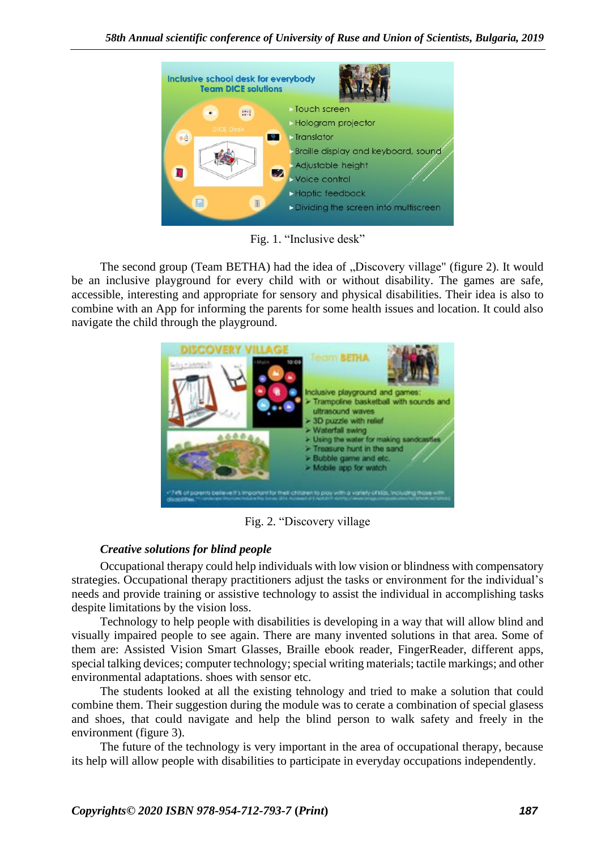

Fig. 1. "Inclusive desk"

The second group (Team BETHA) had the idea of "Discovery village" (figure 2). It would be an inclusive playground for every child with or without disability. The games are safe, accessible, interesting and appropriate for sensory and physical disabilities. Their idea is also to combine with an App for informing the parents for some health issues and location. It could also navigate the child through the playground.



Fig. 2. "Discovery village

# *Creative solutions for blind people*

Occupational therapy could help individuals with low vision or blindness with compensatory strategies. Occupational therapy practitioners adjust the tasks or environment for the individual's needs and provide training or assistive technology to assist the individual in accomplishing tasks despite limitations by the vision loss.

[Technology to help people with disabilities](https://www.goodnet.org/articles/4-empowering-breakthrough-innovations-for-people-disabilities-list) is developing in a way that will allow blind and visually impaired people to see again. There are many invented solutions in that area. Some of them are: Assisted Vision Smart Glasses, Braille ebook reader, FingerReader, different apps, special talking devices; computer technology; special writing materials; tactile markings; and other environmental adaptations. shoes with sensor etc.

The students looked at all the existing tehnology and tried to make a solution that could combine them. Their suggestion during the module was to cerate a combination of special glasess and shoes, that could navigate and help the blind person to walk safety and freely in the environment (figure 3).

The future of the technology is very important in the area of occupational therapy, because its help will allow people with disabilities to participate in everyday occupations independently.